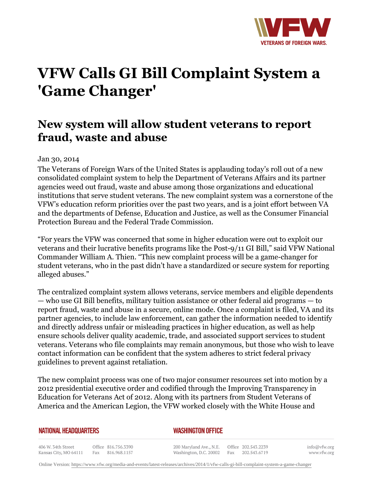

# **VFW Calls GI Bill Complaint System a 'Game Changer'**

# **New system will allow student veterans to report fraud, waste and abuse**

## Jan 30, 2014

The Veterans of Foreign Wars of the United States is applauding today's roll out of a new consolidated complaint system to help the Department of Veterans Affairs and its partner agencies weed out fraud, waste and abuse among those organizations and educational institutions that serve student veterans. The new complaint system was a cornerstone of the VFW's education reform priorities over the past two years, and is a joint effort between VA and the departments of Defense, Education and Justice, as well as the Consumer Financial Protection Bureau and the Federal Trade Commission.

"For years the VFW was concerned that some in higher education were out to exploit our veterans and their lucrative benefits programs like the Post-9/11 GI Bill," said VFW National Commander William A. Thien. "This new complaint process will be a game-changer for student veterans, who in the past didn't have a standardized or secure system for reporting alleged abuses."

The centralized complaint system allows veterans, service members and eligible dependents — who use GI Bill benefits, military tuition assistance or other federal aid programs — to report fraud, waste and abuse in a secure, online mode. Once a complaint is filed, VA and its partner agencies, to include law enforcement, can gather the information needed to identify and directly address unfair or misleading practices in higher education, as well as help ensure schools deliver quality academic, trade, and associated support services to student veterans. Veterans who file complaints may remain anonymous, but those who wish to leave contact information can be confident that the system adheres to strict federal privacy guidelines to prevent against retaliation.

The new complaint process was one of two major consumer resources set into motion by a 2012 presidential executive order and codified through the Improving Transparency in Education for Veterans Act of 2012. Along with its partners from Student Veterans of America and the American Legion, the VFW worked closely with the White House and

### **NATIONAL HEADQUARTERS**

### *WASHINGTON OFFICE*

406 W. 34th Street Office 816.756.3390 Fax 816.968.1157 Kansas City, MO 64111

200 Maryland Ave., N.E. Washington, D.C. 20002

Office 202.543.2239 Fax 202.543.6719 info@vfw.org www.vfw.org

Online Version:<https://www.vfw.org/media-and-events/latest-releases/archives/2014/1/vfw-calls-gi-bill-complaint-system-a-game-changer>